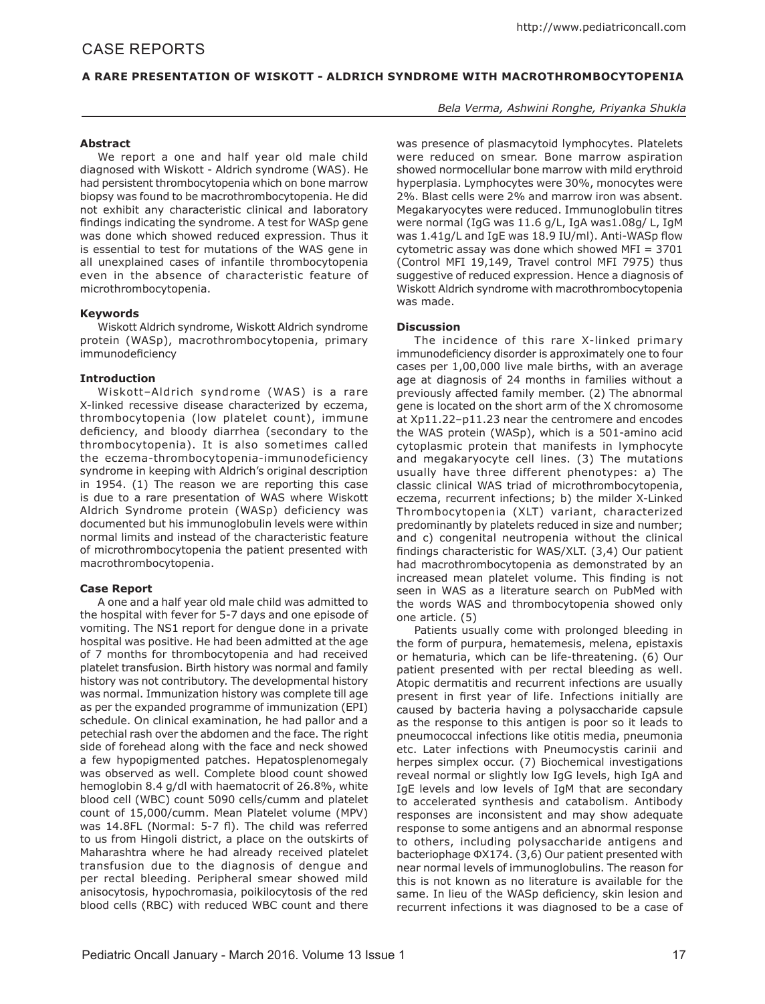# CASE REPORTS

## **A RARE PRESENTATION OF WISKOTT - ALDRICH SYNDROME WITH MACROTHROMBOCYTOPENIA**

## *Bela Verma, Ashwini Ronghe, Priyanka Shukla*

### **Abstract**

We report a one and half year old male child diagnosed with Wiskott - Aldrich syndrome (WAS). He had persistent thrombocytopenia which on bone marrow biopsy was found to be macrothrombocytopenia. He did not exhibit any characteristic clinical and laboratory findings indicating the syndrome. A test for WASp gene was done which showed reduced expression. Thus it is essential to test for mutations of the WAS gene in all unexplained cases of infantile thrombocytopenia even in the absence of characteristic feature of microthrombocytopenia.

## **Keywords**

Wiskott Aldrich syndrome, Wiskott Aldrich syndrome protein (WASp), macrothrombocytopenia, primary immunodeficiency

#### **Introduction**

Wiskott–Aldrich syndrome (WAS) is a rare X-linked recessive disease characterized by eczema, thrombocytopenia (low platelet count), immune deficiency, and bloody diarrhea (secondary to the thrombocytopenia). It is also sometimes called the eczema-thrombocytopenia-immunodeficiency syndrome in keeping with Aldrich's original description in 1954. (1) The reason we are reporting this case is due to a rare presentation of WAS where Wiskott Aldrich Syndrome protein (WASp) deficiency was documented but his immunoglobulin levels were within normal limits and instead of the characteristic feature of microthrombocytopenia the patient presented with macrothrombocytopenia.

#### **Case Report**

A one and a half year old male child was admitted to the hospital with fever for 5-7 days and one episode of vomiting. The NS1 report for dengue done in a private hospital was positive. He had been admitted at the age of 7 months for thrombocytopenia and had received platelet transfusion. Birth history was normal and family history was not contributory. The developmental history was normal. Immunization history was complete till age as per the expanded programme of immunization (EPI) schedule. On clinical examination, he had pallor and a petechial rash over the abdomen and the face. The right side of forehead along with the face and neck showed a few hypopigmented patches. Hepatosplenomegaly was observed as well. Complete blood count showed hemoglobin 8.4 g/dl with haematocrit of 26.8%, white blood cell (WBC) count 5090 cells/cumm and platelet count of 15,000/cumm. Mean Platelet volume (MPV) was 14.8FL (Normal: 5-7 fl). The child was referred to us from Hingoli district, a place on the outskirts of Maharashtra where he had already received platelet transfusion due to the diagnosis of dengue and per rectal bleeding. Peripheral smear showed mild anisocytosis, hypochromasia, poikilocytosis of the red blood cells (RBC) with reduced WBC count and there

was presence of plasmacytoid lymphocytes. Platelets were reduced on smear. Bone marrow aspiration showed normocellular bone marrow with mild erythroid hyperplasia. Lymphocytes were 30%, monocytes were 2%. Blast cells were 2% and marrow iron was absent. Megakaryocytes were reduced. Immunoglobulin titres were normal (IgG was 11.6 g/L, IgA was1.08g/ L, IgM was 1.41g/L and IgE was 18.9 IU/ml). Anti-WASp flow cytometric assay was done which showed MFI = 3701 (Control MFI 19,149, Travel control MFI 7975) thus suggestive of reduced expression. Hence a diagnosis of Wiskott Aldrich syndrome with macrothrombocytopenia was made.

#### **Discussion**

The incidence of this rare X-linked primary immunodeficiency disorder is approximately one to four cases per 1,00,000 live male births, with an average age at diagnosis of 24 months in families without a previously affected family member. (2) The abnormal gene is located on the short arm of the X chromosome at Xp11.22–p11.23 near the centromere and encodes the WAS protein (WASp), which is a 501-amino acid cytoplasmic protein that manifests in lymphocyte and megakaryocyte cell lines. (3) The mutations usually have three different phenotypes: a) The classic clinical WAS triad of microthrombocytopenia, eczema, recurrent infections; b) the milder X-Linked Thrombocytopenia (XLT) variant, characterized predominantly by platelets reduced in size and number; and c) congenital neutropenia without the clinical findings characteristic for WAS/XLT. (3,4) Our patient had macrothrombocytopenia as demonstrated by an increased mean platelet volume. This finding is not seen in WAS as a literature search on PubMed with the words WAS and thrombocytopenia showed only one article. (5)

Patients usually come with prolonged bleeding in the form of purpura, hematemesis, melena, epistaxis or hematuria, which can be life-threatening. (6) Our patient presented with per rectal bleeding as well. Atopic dermatitis and recurrent infections are usually present in first year of life. Infections initially are caused by bacteria having a polysaccharide capsule as the response to this antigen is poor so it leads to pneumococcal infections like otitis media, pneumonia etc. Later infections with Pneumocystis carinii and herpes simplex occur. (7) Biochemical investigations reveal normal or slightly low IgG levels, high IgA and IgE levels and low levels of IgM that are secondary to accelerated synthesis and catabolism. Antibody responses are inconsistent and may show adequate response to some antigens and an abnormal response to others, including polysaccharide antigens and bacteriophage ΦX174. (3,6) Our patient presented with near normal levels of immunoglobulins. The reason for this is not known as no literature is available for the same. In lieu of the WASp deficiency, skin lesion and recurrent infections it was diagnosed to be a case of